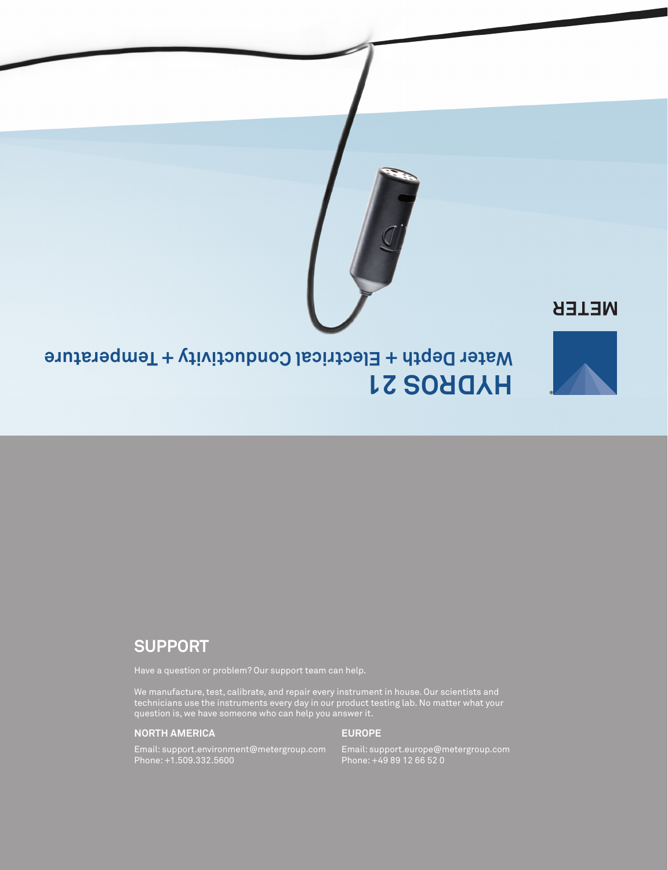

# **METER**



# **HYDROS 21 Electrical Conductivity + Temperature Water Depth +**

# **SUPPORT**

Have a question or problem? Our support team can help.

We manufacture, test, calibrate, and repair every instrument in house. Our scientists and technicians use the instruments every day in our product testing lab. No matter what your question is, we have someone who can help you answer it.

## **NORTH AMERICA**

#### **EUROPE**

Email: support.environment@metergroup.com Phone: +1.509.332.5600

Email: support.europe@metergroup.com Phone: +49 89 12 66 52 0